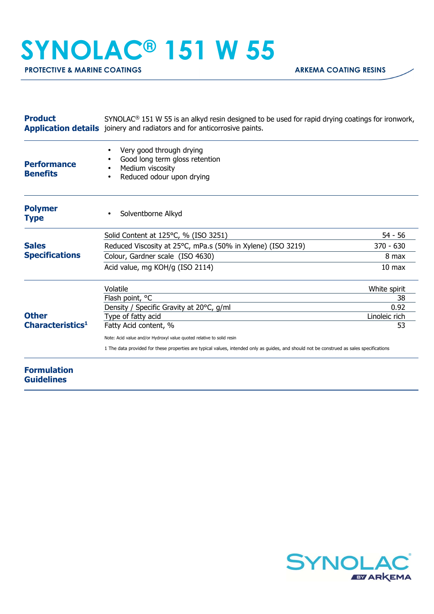## **SYNOLAC® 151 W 55**

| <b>Product</b>                               | $SYNOLAC®$ 151 W 55 is an alkyd resin designed to be used for rapid drying coatings for ironwork,<br>Application details joinery and radiators and for anticorrosive paints. |                     |  |
|----------------------------------------------|------------------------------------------------------------------------------------------------------------------------------------------------------------------------------|---------------------|--|
| <b>Performance</b><br><b>Benefits</b>        | Very good through drying<br>Good long term gloss retention<br>Medium viscosity<br>Reduced odour upon drying                                                                  |                     |  |
| <b>Polymer</b><br><b>Type</b>                | Solventborne Alkyd                                                                                                                                                           |                     |  |
| <b>Sales</b><br><b>Specifications</b>        | Solid Content at 125°C, % (ISO 3251)                                                                                                                                         | 54 - 56             |  |
|                                              | Reduced Viscosity at 25°C, mPa.s (50% in Xylene) (ISO 3219)                                                                                                                  | $370 - 630$         |  |
|                                              | Colour, Gardner scale (ISO 4630)                                                                                                                                             | 8 max               |  |
|                                              | Acid value, mg KOH/g (ISO 2114)                                                                                                                                              | 10 <sub>max</sub>   |  |
| <b>Other</b><br>Characteristics <sup>1</sup> | Volatile                                                                                                                                                                     | White spirit        |  |
|                                              | Flash point, °C                                                                                                                                                              | 38                  |  |
|                                              | Density / Specific Gravity at 20°C, g/ml                                                                                                                                     | 0.92                |  |
|                                              | Type of fatty acid                                                                                                                                                           | Linoleic rich<br>53 |  |
|                                              | Fatty Acid content, %                                                                                                                                                        |                     |  |
|                                              | Note: Acid value and/or Hydroxyl value quoted relative to solid resin                                                                                                        |                     |  |
|                                              | 1 The data provided for these properties are typical values, intended only as guides, and should not be construed as sales specifications                                    |                     |  |
| <b>Formulation</b><br><b>Guidelines</b>      |                                                                                                                                                                              |                     |  |